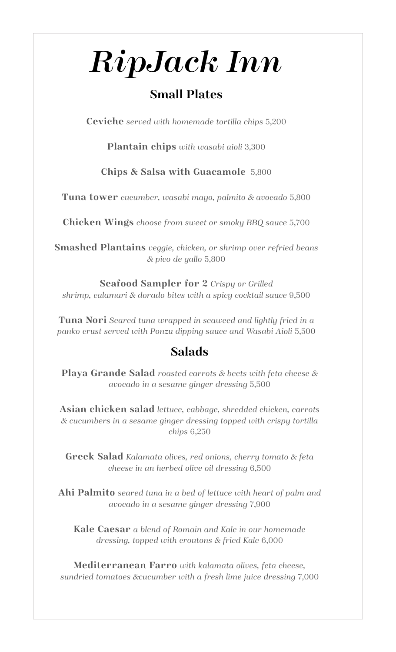# *RipJack Inn*

## **Small Plates**

**Ceviche** *served with homemade tortilla chips* 5,200

**Plantain chips** *with wasabi aioli* 3,300

**Chips & Salsa with Guacamole**5,800

**Tuna tower** *cucumber, wasabi mayo, palmito & avocado* 5,800

**Chicken Wings** *choose from sweet or smoky BBQ sauce* 5,700

**Smashed Plantains** *veggie, chicken, or shrimp over refried beans & pico de gallo* 5,800

**Seafood Sampler for 2** *Crispy or Grilled shrimp, calamari & dorado bites with a spicy cocktail sauce* 9,500

**Tuna Nori** *Seared tuna wrapped in seaweed and lightly fried in a panko crust served with Ponzu dipping sauce and Wasabi Aioli* 5,500

## **Salads**

**Playa Grande Salad** *roasted carrots & beets with feta cheese & avocado in a sesame ginger dressing* 5,500

**Asian chicken salad** *lettuce, cabbage, shredded chicken, carrots & cucumbers in a sesame ginger dressing topped with crispy tortilla chips* 6,250

**Greek Salad** *Kalamata olives, red onions, cherry tomato & feta cheese in an herbed olive oil dressing* 6,500

**Ahi Palmito** *seared tuna in a bed of lettuce with heart of palm and avocado in a sesame ginger dressing* 7,900

**Kale Caesar** *a blend of Romain and Kale in our homemade dressing, topped with croutons & fried Kale* 6,000

**Mediterranean Farro** *with kalamata olives, feta cheese, sundried tomatoes &cucumber with a fresh lime juice dressing* 7,000